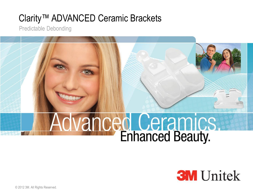# Clarity™ ADVANCED Ceramic Brackets

Predictable Debonding

# **Advanced Ceramics**

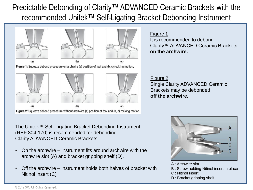Predictable Debonding of Clarity™ ADVANCED Ceramic Brackets with the recommended Unitek™ Self-Ligating Bracket Debonding Instrument







Figure 1: Squeeze debond procedure on archwire (a) position of tool and (b, c) rocking motion.



The Unitek™ Self-Ligating Bracket Debonding Instrument (REF 804-170) is recommended for debonding Clarity ADVANCED Ceramic Brackets.

- On the archwire instrument fits around archwire with the archwire slot (A) and bracket gripping shelf (D).
- Off the archwire instrument holds both halves of bracket with Nitinol insert (C)

### Figure 1

It is recommended to debond Clarity™ ADVANCED Ceramic Brackets **on the archwire.**

### Figure 2

Single Clarity ADVANCED Ceramic Brackets may be debonded **off the archwire.**



- A : Archwire slot
- B : Screw holding Nitinol insert in place
- C : Nitinol insert
- D : Bracket gripping shelf